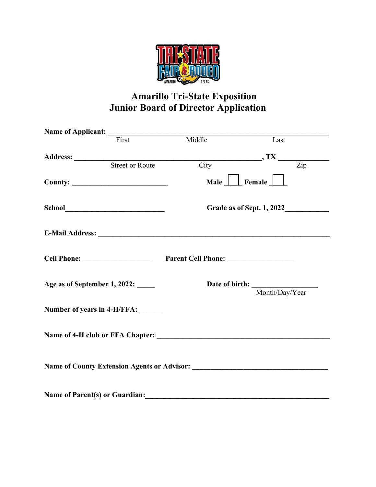

## **Amarillo Tri-State Exposition Junior Board of Director Application**

| Name of Applicant:                                                            |                           |                                                     |
|-------------------------------------------------------------------------------|---------------------------|-----------------------------------------------------|
| First                                                                         | Middle                    | Last                                                |
| Address: Street or Route                                                      |                           | $\frac{1}{\text{City}}$ , TX $\frac{1}{\text{Zip}}$ |
|                                                                               | Male                      | $\Box$ Female $\Box$                                |
|                                                                               | Grade as of Sept. 1, 2022 |                                                     |
|                                                                               |                           |                                                     |
| Cell Phone: <u>New York Cell Phone:</u>                                       |                           |                                                     |
| Age as of September 1, 2022:                                                  |                           | Date of birth: Month/Day/Year                       |
| Number of years in 4-H/FFA: ______                                            |                           |                                                     |
|                                                                               |                           |                                                     |
|                                                                               |                           |                                                     |
| Name of Parent(s) or Guardian: Manual Communication of Parent(s) or Guardian: |                           |                                                     |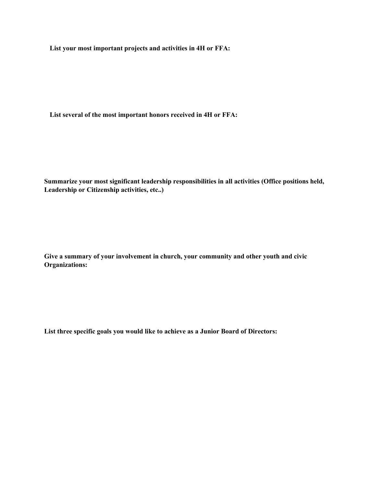**List your most important projects and activities in 4H or FFA:**

**List several of the most important honors received in 4H or FFA:**

**Summarize your most significant leadership responsibilities in all activities (Office positions held, Leadership or Citizenship activities, etc..)**

**Give a summary of your involvement in church, your community and other youth and civic Organizations:** 

**List three specific goals you would like to achieve as a Junior Board of Directors:**